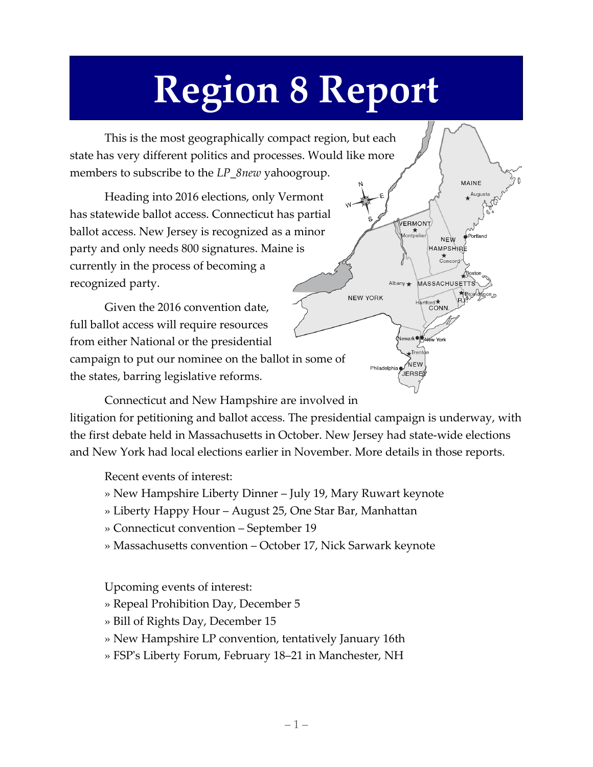## **Region 8 Report**

This is the most geographically compact region, but each state has very different politics and processes. Would like more members to subscribe to the *LP\_8new* yahoogroup.

Heading into 2016 elections, only Vermont has statewide ballot access. Connecticut has partial ballot access. New Jersey is recognized as a minor party and only needs 800 signatures. Maine is currently in the process of becoming a recognized party.

Given the 2016 convention date, full ballot access will require resources from either National or the presidential campaign to put our nominee on the ballot in some of the states, barring legislative reforms.

VERMONT →★<br>ontpelie **NEW HAMPSHIRE** ★<br>Concord MASSACHUSETTS Albany  $\bigstar$ **NEW YORK** Hartford<sup>\*</sup> **NEW** JERSE

MAINF Augusta

Connecticut and New Hampshire are involved in

litigation for petitioning and ballot access. The presidential campaign is underway, with the first debate held in Massachusetts in October. New Jersey had state-wide elections and New York had local elections earlier in November. More details in those reports.

Recent events of interest:

- » New Hampshire Liberty Dinner July 19, Mary Ruwart keynote
- » Liberty Happy Hour August 25, One Star Bar, Manhattan
- » Connecticut convention September 19
- » Massachusetts convention October 17, Nick Sarwark keynote

Upcoming events of interest:

- » Repeal Prohibition Day, December 5
- » Bill of Rights Day, December 15
- » New Hampshire LP convention, tentatively January 16th
- » FSP's Liberty Forum, February 18–21 in Manchester, NH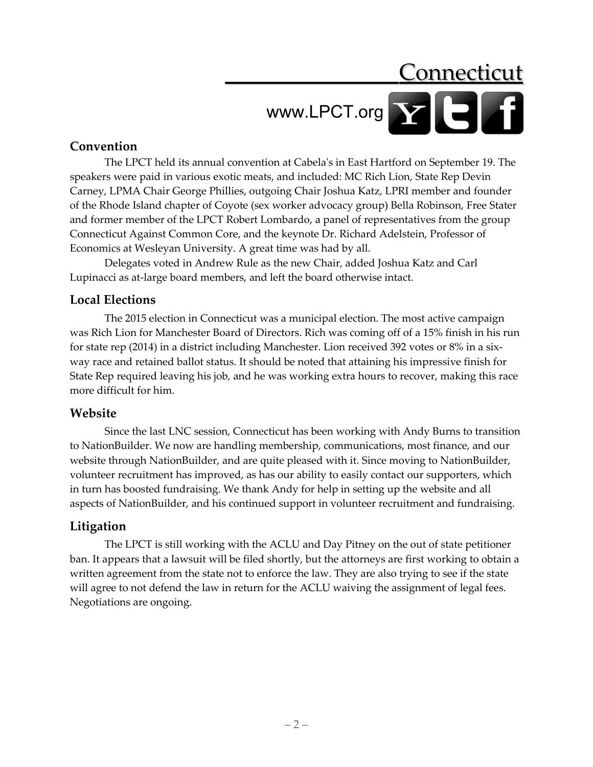### Connecticut www.LPCT.org

#### **Convention**

The LPCT held its annual convention at Cabela's in East Hartford on September 19. The speakers were paid in various exotic meats, and included: MC Rich Lion, State Rep Devin Carney, LPMA Chair George Phillies, outgoing Chair Joshua Katz, LPRI member and founder of the Rhode Island chapter of Coyote (sex worker advocacy group) Bella Robinson, Free Stater and former member of the LPCT Robert Lombardo, a panel of representatives from the group Connecticut Against Common Core, and the keynote Dr. Richard Adelstein, Professor of Economics at Wesleyan University. A great time was had by all.

Delegates voted in Andrew Rule as the new Chair, added Joshua Katz and Carl Lupinacci as at-large board members, and left the board otherwise intact.

#### **Local Elections**

The 2015 election in Connecticut was a municipal election. The most active campaign was Rich Lion for Manchester Board of Directors. Rich was coming off of a 15% finish in his run for state rep (2014) in a district including Manchester. Lion received 392 votes or 8% in a sixway race and retained ballot status. It should be noted that attaining his impressive finish for State Rep required leaving his job, and he was working extra hours to recover, making this race more difficult for him.

#### **Website**

Since the last LNC session, Connecticut has been working with Andy Burns to transition to NationBuilder. We now are handling membership, communications, most finance, and our website through NationBuilder, and are quite pleased with it. Since moving to NationBuilder, volunteer recruitment has improved, as has our ability to easily contact our supporters, which in turn has boosted fundraising. We thank Andy for help in setting up the website and all aspects of NationBuilder, and his continued support in volunteer recruitment and fundraising.

#### **Litigation**

The LPCT is still working with the ACLU and Day Pitney on the out of state petitioner ban. It appears that a lawsuit will be filed shortly, but the attorneys are first working to obtain a written agreement from the state not to enforce the law. They are also trying to see if the state will agree to not defend the law in return for the ACLU waiving the assignment of legal fees. Negotiations are ongoing.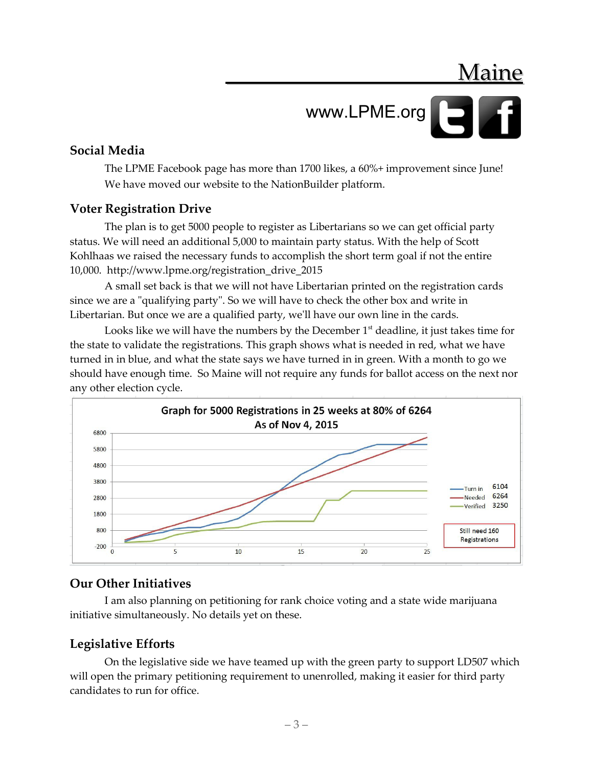Maine

### www.LPME.org

#### **Social Media**

The LPME Facebook page has more than 1700 likes, a 60%+ improvement since June! We have moved our website to the NationBuilder platform.

#### **Voter Registration Drive**

The plan is to get 5000 people to register as Libertarians so we can get official party status. We will need an additional 5,000 to maintain party status. With the help of Scott Kohlhaas we raised the necessary funds to accomplish the short term goal if not the entire 10,000. http://www.lpme.org/registration\_drive\_2015

A small set back is that we will not have Libertarian printed on the registration cards since we are a "qualifying party". So we will have to check the other box and write in Libertarian. But once we are a qualified party, we'll have our own line in the cards.

Looks like we will have the numbers by the December  $1<sup>st</sup>$  deadline, it just takes time for the state to validate the registrations. This graph shows what is needed in red, what we have turned in in blue, and what the state says we have turned in in green. With a month to go we should have enough time. So Maine will not require any funds for ballot access on the next nor any other election cycle.



#### **Our Other Initiatives**

I am also planning on petitioning for rank choice voting and a state wide marijuana initiative simultaneously. No details yet on these.

#### **Legislative Efforts**

On the legislative side we have teamed up with the green party to support LD507 which will open the primary petitioning requirement to unenrolled, making it easier for third party candidates to run for office.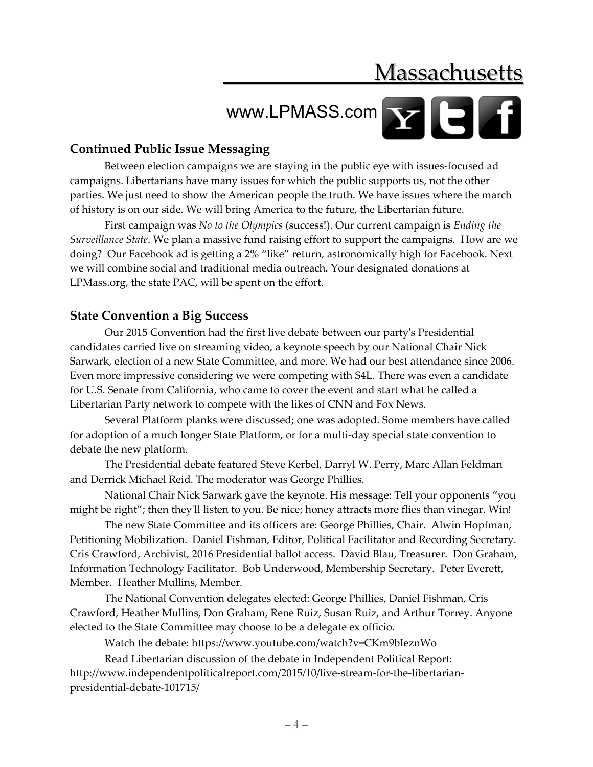### **Massachusetts**

# WWW.LPMASS.com

#### **Continued Public Issue Messaging**

Between election campaigns we are staying in the public eye with issues-focused ad campaigns. Libertarians have many issues for which the public supports us, not the other parties. We just need to show the American people the truth. We have issues where the march of history is on our side. We will bring America to the future, the Libertarian future.

First campaign was *No to the Olympics* (success!). Our current campaign is *Ending the Surveillance State*. We plan a massive fund raising effort to support the campaigns. How are we doing? Our Facebook ad is getting a 2% "like" return, astronomically high for Facebook. Next we will combine social and traditional media outreach. Your designated donations at LPMass.org, the state PAC, will be spent on the effort.

#### **State Convention a Big Success**

Our 2015 Convention had the first live debate between our party's Presidential candidates carried live on streaming video, a keynote speech by our National Chair Nick Sarwark, election of a new State Committee, and more. We had our best attendance since 2006. Even more impressive considering we were competing with S4L. There was even a candidate for U.S. Senate from California, who came to cover the event and start what he called a Libertarian Party network to compete with the likes of CNN and Fox News.

Several Platform planks were discussed; one was adopted. Some members have called for adoption of a much longer State Platform, or for a multi-day special state convention to debate the new platform.

The Presidential debate featured Steve Kerbel, Darryl W. Perry, Marc Allan Feldman and Derrick Michael Reid. The moderator was George Phillies.

National Chair Nick Sarwark gave the keynote. His message: Tell your opponents "you might be right"; then they'll listen to you. Be nice; honey attracts more flies than vinegar. Win!

The new State Committee and its officers are: George Phillies, Chair. Alwin Hopfman, Petitioning Mobilization. Daniel Fishman, Editor, Political Facilitator and Recording Secretary. Cris Crawford, Archivist, 2016 Presidential ballot access. David Blau, Treasurer. Don Graham, Information Technology Facilitator. Bob Underwood, Membership Secretary. Peter Everett, Member. Heather Mullins, Member.

The National Convention delegates elected: George Phillies, Daniel Fishman, Cris Crawford, Heather Mullins, Don Graham, Rene Ruiz, Susan Ruiz, and Arthur Torrey. Anyone elected to the State Committee may choose to be a delegate ex officio.

Watch the debate: https://www.youtube.com/watch?v=CKm9bIeznWo

Read Libertarian discussion of the debate in Independent Political Report: http://www.independentpoliticalreport.com/2015/10/live-stream-for-the-libertarianpresidential-debate-101715/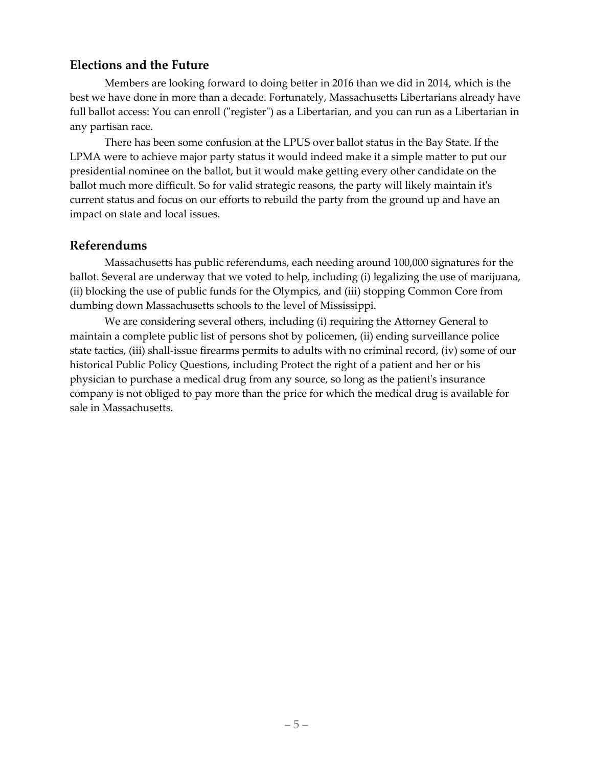#### **Elections and the Future**

Members are looking forward to doing better in 2016 than we did in 2014, which is the best we have done in more than a decade. Fortunately, Massachusetts Libertarians already have full ballot access: You can enroll ("register") as a Libertarian, and you can run as a Libertarian in any partisan race.

There has been some confusion at the LPUS over ballot status in the Bay State. If the LPMA were to achieve major party status it would indeed make it a simple matter to put our presidential nominee on the ballot, but it would make getting every other candidate on the ballot much more difficult. So for valid strategic reasons, the party will likely maintain it's current status and focus on our efforts to rebuild the party from the ground up and have an impact on state and local issues.

#### **Referendums**

Massachusetts has public referendums, each needing around 100,000 signatures for the ballot. Several are underway that we voted to help, including (i) legalizing the use of marijuana, (ii) blocking the use of public funds for the Olympics, and (iii) stopping Common Core from dumbing down Massachusetts schools to the level of Mississippi.

We are considering several others, including (i) requiring the Attorney General to maintain a complete public list of persons shot by policemen, (ii) ending surveillance police state tactics, (iii) shall-issue firearms permits to adults with no criminal record, (iv) some of our historical Public Policy Questions, including Protect the right of a patient and her or his physician to purchase a medical drug from any source, so long as the patient's insurance company is not obliged to pay more than the price for which the medical drug is available for sale in Massachusetts.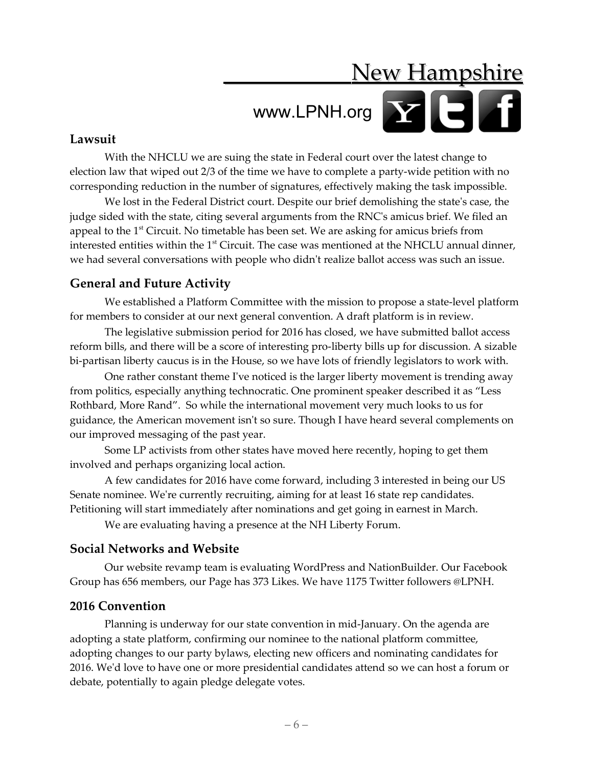### **New Hampshire**

### www.LPNH.org<sup>N</sup>

#### **Lawsuit**

With the NHCLU we are suing the state in Federal court over the latest change to election law that wiped out 2/3 of the time we have to complete a party-wide petition with no corresponding reduction in the number of signatures, effectively making the task impossible.

We lost in the Federal District court. Despite our brief demolishing the state's case, the judge sided with the state, citing several arguments from the RNC's amicus brief. We filed an appeal to the  $1<sup>st</sup>$  Circuit. No timetable has been set. We are asking for amicus briefs from interested entities within the  $1<sup>st</sup>$  Circuit. The case was mentioned at the NHCLU annual dinner, we had several conversations with people who didn't realize ballot access was such an issue.

#### **General and Future Activity**

We established a Platform Committee with the mission to propose a state-level platform for members to consider at our next general convention. A draft platform is in review.

The legislative submission period for 2016 has closed, we have submitted ballot access reform bills, and there will be a score of interesting pro-liberty bills up for discussion. A sizable bi-partisan liberty caucus is in the House, so we have lots of friendly legislators to work with.

One rather constant theme I've noticed is the larger liberty movement is trending away from politics, especially anything technocratic. One prominent speaker described it as "Less Rothbard, More Rand". So while the international movement very much looks to us for guidance, the American movement isn't so sure. Though I have heard several complements on our improved messaging of the past year.

Some LP activists from other states have moved here recently, hoping to get them involved and perhaps organizing local action.

A few candidates for 2016 have come forward, including 3 interested in being our US Senate nominee. We're currently recruiting, aiming for at least 16 state rep candidates. Petitioning will start immediately after nominations and get going in earnest in March.

We are evaluating having a presence at the NH Liberty Forum.

#### **Social Networks and Website**

Our website revamp team is evaluating WordPress and NationBuilder. Our Facebook Group has 656 members, our Page has 373 Likes. We have 1175 Twitter followers @LPNH.

#### **2016 Convention**

Planning is underway for our state convention in mid-January. On the agenda are adopting a state platform, confirming our nominee to the national platform committee, adopting changes to our party bylaws, electing new officers and nominating candidates for 2016. We'd love to have one or more presidential candidates attend so we can host a forum or debate, potentially to again pledge delegate votes.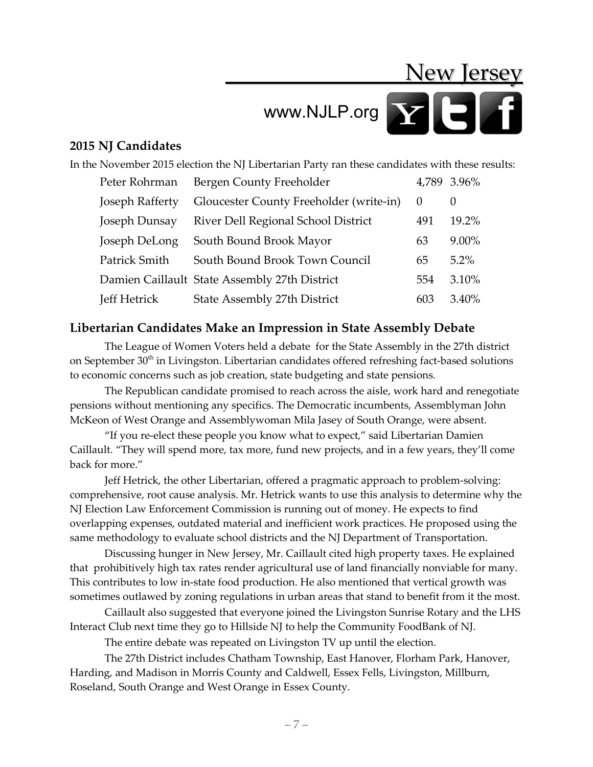### New Jersey

# www.NJLP.org

#### **2015 NJ Candidates**

In the November 2015 election the NJ Libertarian Party ran these candidates with these results:

| Peter Rohrman   | Bergen County Freeholder                      |          | 4,789 3.96% |
|-----------------|-----------------------------------------------|----------|-------------|
| Joseph Rafferty | Gloucester County Freeholder (write-in)       | $\theta$ | $\theta$    |
| Joseph Dunsay   | River Dell Regional School District           | 491      | 19.2%       |
| Joseph DeLong   | South Bound Brook Mayor                       | 63       | $9.00\%$    |
| Patrick Smith   | South Bound Brook Town Council                | 65       | $5.2\%$     |
|                 | Damien Caillault State Assembly 27th District | 554      | 3.10%       |
| Jeff Hetrick    | State Assembly 27th District                  | 603      | $3.40\%$    |

#### **Libertarian Candidates Make an Impression in State Assembly Debate**

The League of Women Voters held a debate for the State Assembly in the 27th district on September 30<sup>th</sup> in Livingston. Libertarian candidates offered refreshing fact-based solutions to economic concerns such as job creation, state budgeting and state pensions.

The Republican candidate promised to reach across the aisle, work hard and renegotiate pensions without mentioning any specifics. The Democratic incumbents, Assemblyman John McKeon of West Orange and Assemblywoman Mila Jasey of South Orange, were absent.

"If you re-elect these people you know what to expect," said Libertarian Damien Caillault. "They will spend more, tax more, fund new projects, and in a few years, they'll come back for more."

Jeff Hetrick, the other Libertarian, offered a pragmatic approach to problem-solving: comprehensive, root cause analysis. Mr. Hetrick wants to use this analysis to determine why the NJ Election Law Enforcement Commission is running out of money. He expects to find overlapping expenses, outdated material and inefficient work practices. He proposed using the same methodology to evaluate school districts and the NJ Department of Transportation.

Discussing hunger in New Jersey, Mr. Caillault cited high property taxes. He explained that prohibitively high tax rates render agricultural use of land financially nonviable for many. This contributes to low in-state food production. He also mentioned that vertical growth was sometimes outlawed by zoning regulations in urban areas that stand to benefit from it the most.

Caillault also suggested that everyone joined the Livingston Sunrise Rotary and the LHS Interact Club next time they go to Hillside NJ to help the Community FoodBank of NJ.

The entire debate was repeated on Livingston TV up until the election.

The 27th District includes Chatham Township, East Hanover, Florham Park, Hanover, Harding, and Madison in Morris County and Caldwell, Essex Fells, Livingston, Millburn, Roseland, South Orange and West Orange in Essex County.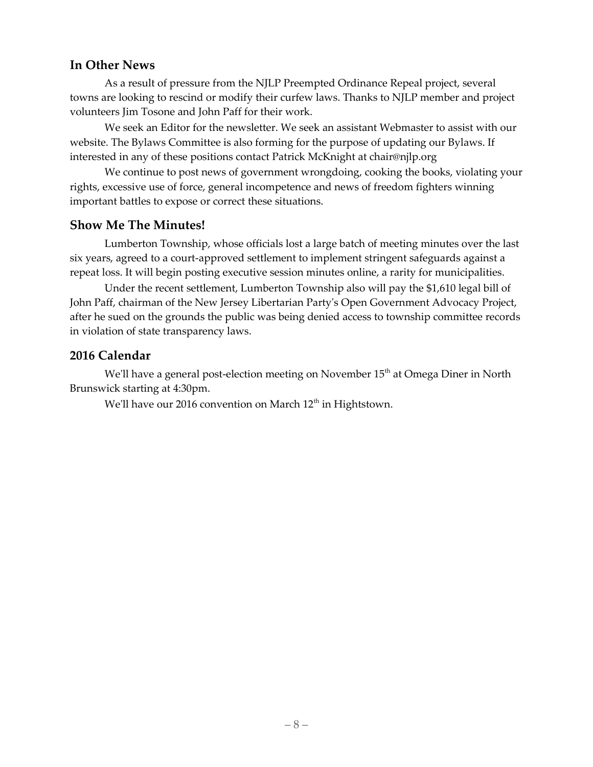#### **In Other News**

As a result of pressure from the NJLP Preempted Ordinance Repeal project, several towns are looking to rescind or modify their curfew laws. Thanks to NJLP member and project volunteers Jim Tosone and John Paff for their work.

We seek an Editor for the newsletter. We seek an assistant Webmaster to assist with our website. The Bylaws Committee is also forming for the purpose of updating our Bylaws. If interested in any of these positions contact Patrick McKnight at chair@njlp.org

We continue to post news of government wrongdoing, cooking the books, violating your rights, excessive use of force, general incompetence and news of freedom fighters winning important battles to expose or correct these situations.

#### **Show Me The Minutes!**

Lumberton Township, whose officials lost a large batch of meeting minutes over the last six years, agreed to a court-approved settlement to implement stringent safeguards against a repeat loss. It will begin posting executive session minutes online, a rarity for municipalities.

Under the recent settlement, Lumberton Township also will pay the \$1,610 legal bill of John Paff, chairman of the New Jersey Libertarian Party's Open Government Advocacy Project, after he sued on the grounds the public was being denied access to township committee records in violation of state transparency laws.

#### **2016 Calendar**

We'll have a general post-election meeting on November  $15<sup>th</sup>$  at Omega Diner in North Brunswick starting at 4:30pm.

We'll have our 2016 convention on March  $12<sup>th</sup>$  in Hightstown.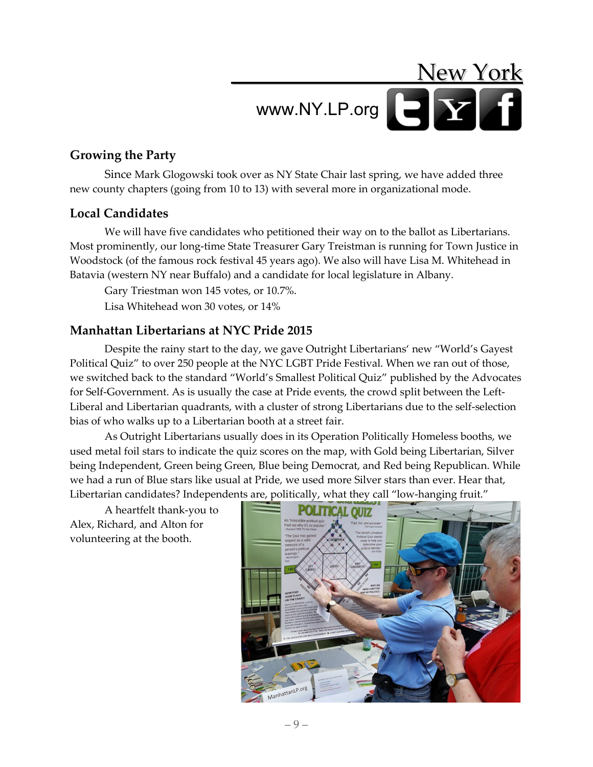## New York www.NY.LP.org

#### **Growing the Party**

Since Mark Glogowski took over as NY State Chair last spring, we have added three new county chapters (going from 10 to 13) with several more in organizational mode.

#### **Local Candidates**

We will have five candidates who petitioned their way on to the ballot as Libertarians. Most prominently, our long-time State Treasurer Gary Treistman is running for Town Justice in Woodstock (of the famous rock festival 45 years ago). We also will have Lisa M. Whitehead in Batavia (western NY near Buffalo) and a candidate for local legislature in Albany.

Gary Triestman won 145 votes, or 10.7%.

Lisa Whitehead won 30 votes, or 14%

#### **Manhattan Libertarians at NYC Pride 2015**

Despite the rainy start to the day, we gave Outright Libertarians' new "World's Gayest Political Quiz" to over 250 people at the NYC LGBT Pride Festival. When we ran out of those, we switched back to the standard "World's Smallest Political Quiz" published by the Advocates for Self-Government. As is usually the case at Pride events, the crowd split between the Left-Liberal and Libertarian quadrants, with a cluster of strong Libertarians due to the self-selection bias of who walks up to a Libertarian booth at a street fair.

As Outright Libertarians usually does in its Operation Politically Homeless booths, we used metal foil stars to indicate the quiz scores on the map, with Gold being Libertarian, Silver being Independent, Green being Green, Blue being Democrat, and Red being Republican. While we had a run of Blue stars like usual at Pride, we used more Silver stars than ever. Hear that, Libertarian candidates? Independents are, politically, what they call "low-hanging fruit."

A heartfelt thank-you to Alex, Richard, and Alton for volunteering at the booth.